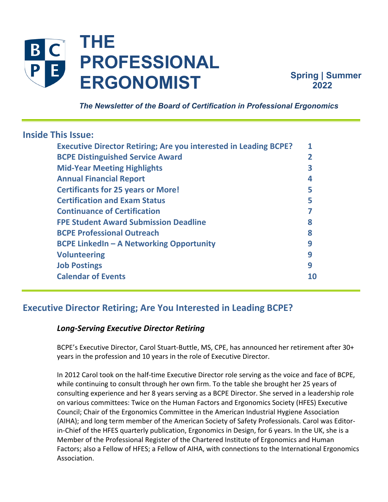

**Spring | Summer 2022**

 *The Newsletter of the Board of Certification in Professional Ergonomics*

## **Inside This Issue:**

| <b>Executive Director Retiring; Are you interested in Leading BCPE?</b> |    |
|-------------------------------------------------------------------------|----|
| <b>BCPE Distinguished Service Award</b>                                 | 2  |
| <b>Mid-Year Meeting Highlights</b>                                      | 3  |
| <b>Annual Financial Report</b>                                          | 4  |
| <b>Certificants for 25 years or More!</b>                               | 5  |
| <b>Certification and Exam Status</b>                                    |    |
| <b>Continuance of Certification</b>                                     |    |
| <b>FPE Student Award Submission Deadline</b>                            | 8  |
| <b>BCPE Professional Outreach</b>                                       | 8  |
| <b>BCPE LinkedIn – A Networking Opportunity</b>                         | 9  |
| <b>Volunteering</b>                                                     | q  |
| <b>Job Postings</b>                                                     | q  |
| <b>Calendar of Events</b>                                               | 10 |
|                                                                         |    |

# **Executive Director Retiring; Are You Interested in Leading BCPE?**

## *Long-Serving Executive Director Retiring*

BCPE's Executive Director, Carol Stuart-Buttle, MS, CPE, has announced her retirement after 30+ years in the profession and 10 years in the role of Executive Director.

In 2012 Carol took on the half-time Executive Director role serving as the voice and face of BCPE, while continuing to consult through her own firm. To the table she brought her 25 years of consulting experience and her 8 years serving as a BCPE Director. She served in a leadership role on various committees: Twice on the Human Factors and Ergonomics Society (HFES) Executive Council; Chair of the Ergonomics Committee in the American Industrial Hygiene Association (AIHA); and long term member of the American Society of Safety Professionals. Carol was Editorin-Chief of the HFES quarterly publication, Ergonomics in Design, for 6 years. In the UK, she is a Member of the Professional Register of the Chartered Institute of Ergonomics and Human Factors; also a Fellow of HFES; a Fellow of AIHA, with connections to the International Ergonomics Association.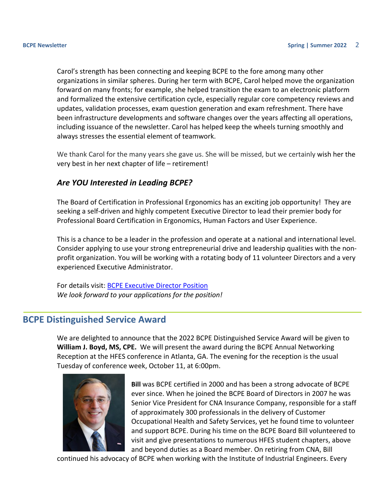<span id="page-1-0"></span>Carol's strength has been connecting and keeping BCPE to the fore among many other organizations in similar spheres. During her term with BCPE, Carol helped move the organization forward on many fronts; for example, she helped transition the exam to an electronic platform and formalized the extensive certification cycle, especially regular core competency reviews and updates, validation processes, exam question generation and exam refreshment. There have been infrastructure developments and software changes over the years affecting all operations, including issuance of the newsletter. Carol has helped keep the wheels turning smoothly and always stresses the essential element of teamwork.

We thank Carol for the many years she gave us. She will be missed, but we certainly wish her the very best in her next chapter of life – retirement!

#### *Are YOU Interested in Leading BCPE?*

The Board of Certification in Professional Ergonomics has an exciting job opportunity! They are seeking a self-driven and highly competent Executive Director to lead their premier body for Professional Board Certification in Ergonomics, Human Factors and User Experience.

This is a chance to be a leader in the profession and operate at a national and international level. Consider applying to use your strong entrepreneurial drive and leadership qualities with the nonprofit organization. You will be working with a rotating body of 11 volunteer Directors and a very experienced Executive Administrator.

For details visit: [BCPE Executive Director Position](http://bcpe.org/wp-content/uploads/2022/06/BCPE-Executive-Director-Position-June-2022-Final.pdf) *We look forward to your applications for the position!*

#### **BCPE Distinguished Service Award**

We are delighted to announce that the 2022 BCPE Distinguished Service Award will be given to **William J. Boyd, MS, CPE.** We will present the award during the BCPE Annual Networking Reception at the HFES conference in Atlanta, GA. The evening for the reception is the usual Tuesday of conference week, October 11, at 6:00pm.



**Bill** was BCPE certified in 2000 and has been a strong advocate of BCPE ever since. When he joined the BCPE Board of Directors in 2007 he was Senior Vice President for CNA Insurance Company, responsible for a staff of approximately 300 professionals in the delivery of Customer Occupational Health and Safety Services, yet he found time to volunteer and support BCPE. During his time on the BCPE Board Bill volunteered to visit and give presentations to numerous HFES student chapters, above and beyond duties as a Board member. On retiring from CNA, Bill

continued his advocacy of BCPE when working with the Institute of Industrial Engineers. Every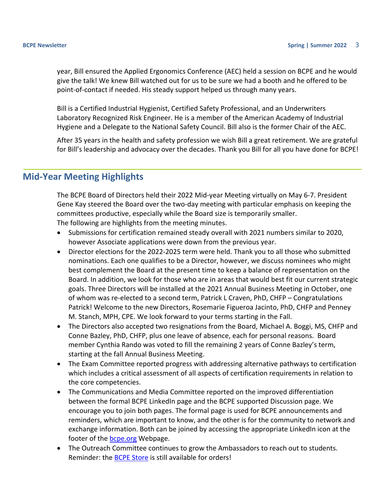<span id="page-2-0"></span>year, Bill ensured the Applied Ergonomics Conference (AEC) held a session on BCPE and he would give the talk! We knew Bill watched out for us to be sure we had a booth and he offered to be point-of-contact if needed. His steady support helped us through many years.

Bill is a Certified Industrial Hygienist, Certified Safety Professional, and an Underwriters Laboratory Recognized Risk Engineer. He is a member of the American Academy of Industrial Hygiene and a Delegate to the National Safety Council. Bill also is the former Chair of the AEC.

After 35 years in the health and safety profession we wish Bill a great retirement. We are grateful for Bill's leadership and advocacy over the decades. Thank you Bill for all you have done for BCPE!

## **Mid-Year Meeting Highlights**

The BCPE Board of Directors held their 2022 Mid-year Meeting virtually on May 6-7. President Gene Kay steered the Board over the two-day meeting with particular emphasis on keeping the committees productive, especially while the Board size is temporarily smaller. The following are highlights from the meeting minutes.

- Submissions for certification remained steady overall with 2021 numbers similar to 2020, however Associate applications were down from the previous year.
- Director elections for the 2022-2025 term were held. Thank you to all those who submitted nominations. Each one qualifies to be a Director, however, we discuss nominees who might best complement the Board at the present time to keep a balance of representation on the Board. In addition, we look for those who are in areas that would best fit our current strategic goals. Three Directors will be installed at the 2021 Annual Business Meeting in October, one of whom was re-elected to a second term, Patrick L Craven, PhD, CHFP – Congratulations Patrick! Welcome to the new Directors, Rosemarie Figueroa Jacinto, PhD, CHFP and Penney M. Stanch, MPH, CPE. We look forward to your terms starting in the Fall.
- The Directors also accepted two resignations from the Board, Michael A. Boggi, MS, CHFP and Conne Bazley, PhD, CHFP, plus one leave of absence, each for personal reasons. Board member Cynthia Rando was voted to fill the remaining 2 years of Conne Bazley's term, starting at the fall Annual Business Meeting.
- The Exam Committee reported progress with addressing alternative pathways to certification which includes a critical assessment of all aspects of certification requirements in relation to the core competencies.
- The Communications and Media Committee reported on the improved differentiation between the formal BCPE LinkedIn page and the BCPE supported Discussion page. We encourage you to join both pages. The formal page is used for BCPE announcements and reminders, which are important to know, and the other is for the community to network and exchange information. Both can be joined by accessing the appropriate LinkedIn icon at the footer of the **bcpe.org** Webpage.
- The Outreach Committee continues to grow the Ambassadors to reach out to students. Reminder: the [BCPE Store](http://bcpe.deco-apparel.com/?utm_source=Opening+of+BCPE+Store&utm_campaign=BCPE+2016+Survey&utm_medium=email) is still available for orders!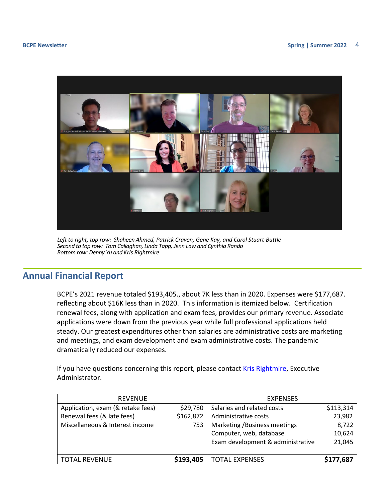<span id="page-3-0"></span>

*Left to right, top row: Shaheen Ahmed, Patrick Craven, Gene Kay, and Carol Stuart-Buttle Second to top row: Tom Callaghan, Linda Tapp, Jenn Law and Cynthia Rando Bottom row: Denny Yu and Kris Rightmire*

## **Annual Financial Report**

BCPE's 2021 revenue totaled \$193,405., about 7K less than in 2020. Expenses were \$177,687. reflecting about \$16K less than in 2020. This information is itemized below. Certification renewal fees, along with application and exam fees, provides our primary revenue. Associate applications were down from the previous year while full professional applications held steady. Our greatest expenditures other than salaries are administrative costs are marketing and meetings, and exam development and exam administrative costs. The pandemic dramatically reduced our expenses.

If you have questions concerning this report, please contac[t Kris Rightmire,](mailto:bcpehq@bcpe.org) Executive Administrator.

| <b>REVENUE</b>                    |           | <b>EXPENSES</b>                   |           |
|-----------------------------------|-----------|-----------------------------------|-----------|
| Application, exam (& retake fees) | \$29,780  | Salaries and related costs        | \$113,314 |
| Renewal fees (& late fees)        | \$162,872 | Administrative costs              | 23,982    |
| Miscellaneous & Interest income   | 753       | Marketing / Business meetings     | 8,722     |
|                                   |           | Computer, web, database           | 10,624    |
|                                   |           | Exam development & administrative | 21,045    |
|                                   |           |                                   |           |
| <b>TOTAL REVENUE</b>              | \$193,405 | <b>TOTAL EXPENSES</b>             | \$177,687 |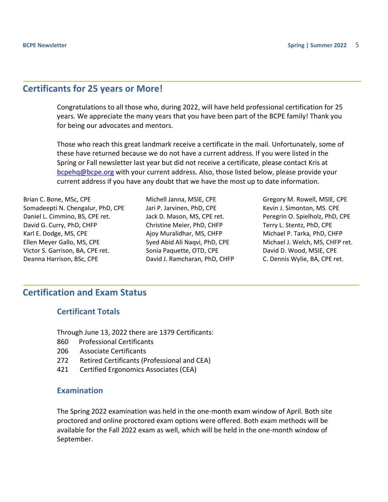## <span id="page-4-0"></span>**Certificants for 25 years or More!**

Congratulations to all those who, during 2022, will have held professional certification for 25 years. We appreciate the many years that you have been part of the BCPE family! Thank you for being our advocates and mentors.

Those who reach this great landmark receive a certificate in the mail. Unfortunately, some of these have returned because we do not have a current address. If you were listed in the Spring or Fall newsletter last year but did not receive a certificate, please contact Kris at bcpehg@bcpe.org with your current address. Also, those listed below, please provide your current address if you have any doubt that we have the most up to date information.

Brian C. Bone, MSc, CPE Somadeepti N. Chengalur, PhD, CPE Daniel L. Cimmino, BS, CPE ret. David G. Curry, PhD, CHFP Karl E. Dodge, MS, CPE Ellen Meyer Gallo, MS, CPE Victor S. Garrison, BA, CPE ret. Deanna Harrison, BSc, CPE

Michell Janna, MSIE, CPE Jari P. Jarvinen, PhD, CPE Jack D. Mason, MS, CPE ret. Christine Meier, PhD, CHFP Ajoy Muralidhar, MS, CHFP Syed Abid Ali Naqvi, PhD, CPE Sonia Paquette, OTD, CPE David J. Ramcharan, PhD, CHFP Gregory M. Rowell, MSIE, CPE Kevin J. Simonton, MS. CPE Peregrin O. Spielholz, PhD, CPE Terry L. Stentz, PhD, CPE Michael P. Tarka, PhD, CHFP Michael J. Welch, MS, CHFP ret. David D. Wood, MSIE, CPE C. Dennis Wylie, BA, CPE ret.

## **Certification and Exam Status**

#### **Certificant Totals**

Through June 13, 2022 there are 1379 Certificants:

- 860 Professional Certificants
- 206 Associate Certificants
- 272 Retired Certificants (Professional and CEA)
- 421 Certified Ergonomics Associates (CEA)

#### **Examination**

The Spring 2022 examination was held in the one-month exam window of April. Both site proctored and online proctored exam options were offered. Both exam methods will be available for the Fall 2022 exam as well, which will be held in the one-month window of September.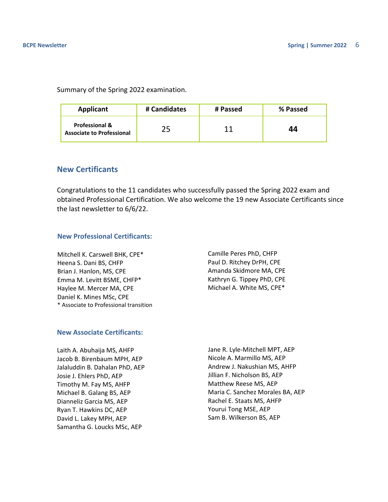Summary of the Spring 2022 examination.

| Applicant                                                     | # Candidates | # Passed | % Passed |
|---------------------------------------------------------------|--------------|----------|----------|
| <b>Professional &amp;</b><br><b>Associate to Professional</b> |              | 11       | 44       |

#### **New Certificants**

Congratulations to the 11 candidates who successfully passed the Spring 2022 exam and obtained Professional Certification. We also welcome the 19 new Associate Certificants since the last newsletter to 6/6/22.

#### **New Professional Certificants:**

Mitchell K. Carswell BHK, CPE\* Heena S. Dani BS, CHFP Brian J. Hanlon, MS, CPE Emma M. Levitt BSME, CHFP\* Haylee M. Mercer MA, CPE Daniel K. Mines MSc, CPE \* Associate to Professional transition Camille Peres PhD, CHFP Paul D. Ritchey DrPH, CPE Amanda Skidmore MA, CPE Kathryn G. Tippey PhD, CPE Michael A. White MS, CPE\*

#### **New Associate Certificants:**

Laith A. Abuhaija MS, AHFP Jacob B. Birenbaum MPH, AEP Jalaluddin B. Dahalan PhD, AEP Josie J. Ehlers PhD, AEP Timothy M. Fay MS, AHFP Michael B. Galang BS, AEP Dianneliz Garcia MS, AEP Ryan T. Hawkins DC, AEP David L. Lakey MPH, AEP Samantha G. Loucks MSc, AEP

Jane R. Lyle-Mitchell MPT, AEP Nicole A. Marmillo MS, AEP Andrew J. Nakushian MS, AHFP Jillian F. Nicholson BS, AEP Matthew Reese MS, AEP Maria C. Sanchez Morales BA, AEP Rachel E. Staats MS, AHFP Yourui Tong MSE, AEP Sam B. Wilkerson BS, AEP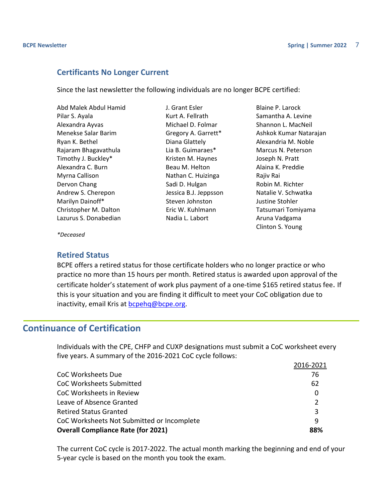#### <span id="page-6-0"></span>**Certificants No Longer Current**

Since the last newsletter the following individuals are no longer BCPE certified:

| Abd Malek Abdul Hamid |
|-----------------------|
| Pilar S. Ayala        |
| Alexandra Ayvas       |
| Menekse Salar Barim   |
| Ryan K. Bethel        |
| Rajaram Bhagavathula  |
| Timothy J. Buckley*   |
| Alexandra C. Burn     |
| Myrna Callison        |
| Dervon Chang          |
| Andrew S. Cherepon    |
| Marilyn Dainoff*      |
| Christopher M. Dalton |
| Lazurus S. Donabedian |

J. Grant Esler Kurt A. Fellrath Michael D. Folmar Gregory A. Garrett\* Diana Glattely Lia B. Guimaraes\* Kristen M. Haynes Beau M. Helton Nathan C. Huizinga Sadi D. Hulgan Jessica B.J. Jeppsson Steven Johnston Eric W. Kuhlmann Nadia L. Labort

Blaine P. Larock Samantha A. Levine Shannon L. MacNeil Ashkok Kumar Natarajan Alexandria M. Noble Marcus N. Peterson Joseph N. Pratt Alaina K. Preddie Rajiv Rai Robin M. Richter Natalie V. Schwatka Justine Stohler Tatsumari Tomiyama Aruna Vadgama Clinton S. Young

*\*Deceased*

#### **Retired Status**

BCPE offers a retired status for those certificate holders who no longer practice or who practice no more than 15 hours per month. Retired status is awarded upon approval of the certificate holder's statement of work plus payment of a one-time \$165 retired status fee. If this is your situation and you are finding it difficult to meet your CoC obligation due to inactivity, email Kris at **bcpehq@bcpe.org.** 

## **Continuance of Certification**

Individuals with the CPE, CHFP and CUXP designations must submit a CoC worksheet every five years. A summary of the 2016-2021 CoC cycle follows:

|                                            | 2016-2021     |
|--------------------------------------------|---------------|
| <b>CoC Worksheets Due</b>                  | 76            |
| <b>CoC Worksheets Submitted</b>            | 62            |
| CoC Worksheets in Review                   | 0             |
| Leave of Absence Granted                   | $\mathcal{P}$ |
| <b>Retired Status Granted</b>              | 3             |
| CoC Worksheets Not Submitted or Incomplete | 9             |
| <b>Overall Compliance Rate (for 2021)</b>  | 88%           |

The current CoC cycle is 2017-2022. The actual month marking the beginning and end of your 5-year cycle is based on the month you took the exam.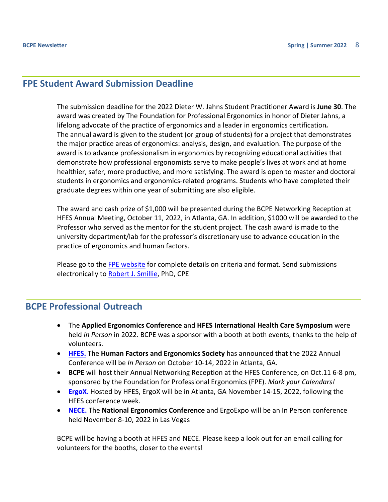#### <span id="page-7-0"></span>**FPE Student Award Submission Deadline**

The submission deadline for the 2022 Dieter W. Jahns Student Practitioner Award is **June 30**. The award was created by The Foundation for Professional Ergonomics in honor of Dieter Jahns, a lifelong advocate of the practice of ergonomics and a leader in ergonomics certification*.* The annual award is given to the student (or group of students) for a project that demonstrates the major practice areas of ergonomics: analysis, design, and evaluation. The purpose of the award is to advance professionalism in ergonomics by recognizing educational activities that demonstrate how professional ergonomists serve to make people's lives at work and at home healthier, safer, more productive, and more satisfying. The award is open to master and doctoral students in ergonomics and ergonomics-related programs. Students who have completed their graduate degrees within one year of submitting are also eligible.

The award and cash prize of \$1,000 will be presented during the BCPE Networking Reception at HFES Annual Meeting, October 11, 2022, in Atlanta, GA. In addition, \$1000 will be awarded to the Professor who served as the mentor for the student project. The cash award is made to the university department/lab for the professor's discretionary use to advance education in the practice of ergonomics and human factors.

Please go to the [FPE website](https://www.ergofoundation.org/ergonomics-projects/annual-dieter-w-jahns-student-practitioner-award) for complete details on criteria and format. Send submissions electronically to [Robert J. Smillie,](mailto:robert.smillie@cox.net) PhD, CPE

## **BCPE Professional Outreach**

- The **Applied Ergonomics Conference** and **HFES International Health Care Symposium** were held *In Person* in 2022. BCPE was a sponsor with a booth at both events, thanks to the help of volunteers.
- **[HFES.](https://www.hfes2022.org/)** The **Human Factors and Ergonomics Society** has announced that the 2022 Annual Conference will be *In Person* on October 10-14, 2022 in Atlanta, GA.
- **BCPE** will host their Annual Networking Reception at the HFES Conference, on Oct.11 6-8 pm, sponsored by the Foundation for Professional Ergonomics (FPE). *Mark your Calendars!*
- **[ErgoX](https://www.ergox2022.org/)**. Hosted by HFES, ErgoX will be in Atlanta, GA November 14-15, 2022, following the HFES conference week.
- **[NECE.](https://www.ergoexpo.com/)** The **National Ergonomics Conference** and ErgoExpo will be an In Person conference held November 8-10, 2022 in Las Vegas

BCPE will be having a booth at HFES and NECE. Please keep a look out for an email calling for volunteers for the booths, closer to the events!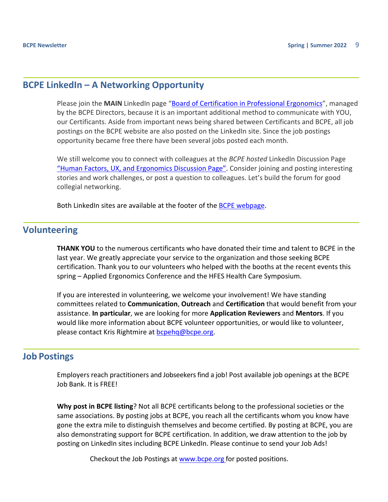## <span id="page-8-0"></span>**BCPE LinkedIn – A Networking Opportunity**

Please join the **MAIN** LinkedIn page "**Board of Certification in Professional Ergonomics**", managed by the BCPE Directors, because it is an important additional method to communicate with YOU, our Certificants. Aside from important news being shared between Certificants and BCPE, all job postings on the BCPE website are also posted on the LinkedIn site. Since the job postings opportunity became free there have been several jobs posted each month.

We still welcome you to connect with colleagues at the *BCPE hosted* LinkedIn Discussion Page ["Human Factors, UX, and Ergonomics Discussion Page".](https://www.linkedin.com/groups/8307857/) Consider joining and posting interesting stories and work challenges, or post a question to colleagues. Let's build the forum for good collegial networking.

Both LinkedIn sites are available at the footer of the [BCPE webpage.](https://bcpe.org/)

## **Volunteering**

**THANK YOU** to the numerous certificants who have donated their time and talent to BCPE in the last year. We greatly appreciate your service to the organization and those seeking BCPE certification. Thank you to our volunteers who helped with the booths at the recent events this spring – Applied Ergonomics Conference and the HFES Health Care Symposium.

If you are interested in volunteering, we welcome your involvement! We have standing committees related to **Communication**, **Outreach** and **Certification** that would benefit from your assistance. **In particular**, we are looking for more **Application Reviewers** and **Mentors**. If you would like more information about BCPE volunteer opportunities, or would like to volunteer, please contact Kris Rightmire at [bcpehq@bcpe.org.](mailto:bcpehq@bcpe.org)

## **Job Postings**

Employers reach practitioners and Jobseekers find a job! Post available job openings at the BCPE Job Bank. It is FREE!

**Why post in BCPE listing**? Not all BCPE certificants belong to the professional societies or the same associations. By posting jobs at BCPE, you reach all the certificants whom you know have gone the extra mile to distinguish themselves and become certified. By posting at BCPE, you are also demonstrating support for BCPE certification. In addition, we draw attention to the job by posting on LinkedIn sites including BCPE LinkedIn. Please continue to send your Job Ads!

Checkout the Job Postings at [www.bcpe.org](http://www.bcpe.org/find-a-certificant/job-postings/) for posted positions.